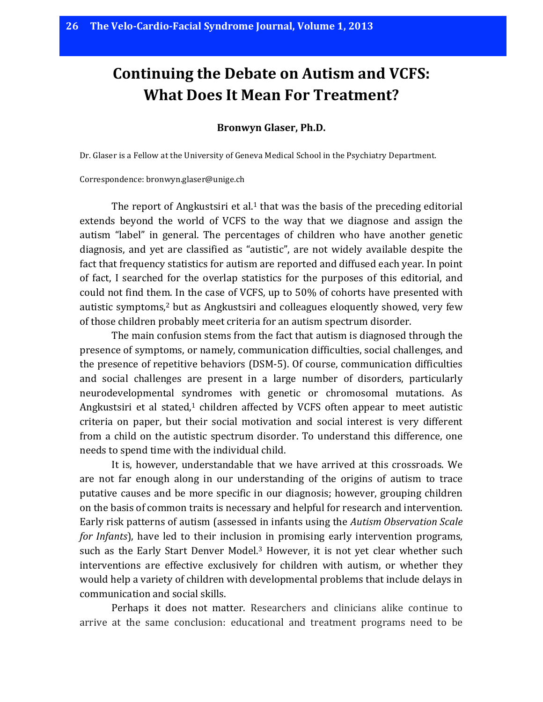## **Continuing the Debate on Autism and VCFS: What Does It Mean For Treatment?**

## **Bronwyn Glaser, Ph.D.**

Dr. Glaser is a Fellow at the University of Geneva Medical School in the Psychiatry Department.

Correspondence: bronwyn.glaser@unige.ch

The report of Angkustsiri et al.<sup>1</sup> that was the basis of the preceding editorial extends beyond the world of VCFS to the way that we diagnose and assign the autism "label" in general. The percentages of children who have another genetic diagnosis, and yet are classified as "autistic", are not widely available despite the fact that frequency statistics for autism are reported and diffused each year. In point of fact, I searched for the overlap statistics for the purposes of this editorial, and could not find them. In the case of VCFS, up to 50% of cohorts have presented with autistic symptoms,<sup>2</sup> but as Angkustsiri and colleagues eloquently showed, very few of those children probably meet criteria for an autism spectrum disorder.

The main confusion stems from the fact that autism is diagnosed through the presence of symptoms, or namely, communication difficulties, social challenges, and the presence of repetitive behaviors (DSM-5). Of course, communication difficulties and social challenges are present in a large number of disorders, particularly neurodevelopmental syndromes with genetic or chromosomal mutations. As Angkustsiri et al stated, $1$  children affected by VCFS often appear to meet autistic criteria on paper, but their social motivation and social interest is very different from a child on the autistic spectrum disorder. To understand this difference, one needs to spend time with the individual child.

It is, however, understandable that we have arrived at this crossroads. We are not far enough along in our understanding of the origins of autism to trace putative causes and be more specific in our diagnosis; however, grouping children on the basis of common traits is necessary and helpful for research and intervention. Early risk patterns of autism (assessed in infants using the *Autism Observation Scale for Infants*), have led to their inclusion in promising early intervention programs, such as the Early Start Denver Model.<sup>3</sup> However, it is not yet clear whether such interventions are effective exclusively for children with autism, or whether they would help a variety of children with developmental problems that include delays in communication and social skills.

Perhaps it does not matter. Researchers and clinicians alike continue to arrive at the same conclusion: educational and treatment programs need to be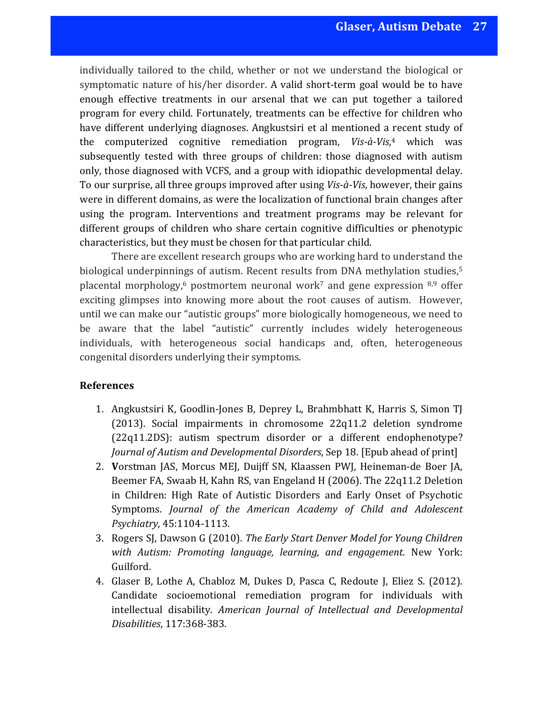individually tailored to the child, whether or not we understand the biological or symptomatic nature of his/her disorder. A valid short-term goal would be to have enough effective treatments in our arsenal that we can put together a tailored program for every child. Fortunately, treatments can be effective for children who have different underlying diagnoses. Angkustsiri et al mentioned a recent study of the computerized cognitive remediation program, Vis-à-Vis,<sup>4</sup> which was subsequently tested with three groups of children: those diagnosed with autism only, those diagnosed with VCFS, and a group with idiopathic developmental delay. To our surprise, all three groups improved after using *Vis-à-Vis*, however, their gains were in different domains, as were the localization of functional brain changes after using the program. Interventions and treatment programs may be relevant for different groups of children who share certain cognitive difficulties or phenotypic characteristics, but they must be chosen for that particular child.

There are excellent research groups who are working hard to understand the biological underpinnings of autism. Recent results from DNA methylation studies,<sup>5</sup> placental morphology,<sup>6</sup> postmortem neuronal work<sup>7</sup> and gene expression <sup>8,9</sup> offer exciting glimpses into knowing more about the root causes of autism. However, until we can make our "autistic groups" more biologically homogeneous, we need to be aware that the label "autistic" currently includes widely heterogeneous individuals, with heterogeneous social handicaps and, often, heterogeneous congenital disorders underlying their symptoms.

## **References**

- 1. Angkustsiri K, Goodlin-Jones B, Deprey L, Brahmbhatt K, Harris S, Simon TJ  $(2013)$ . Social impairments in chromosome  $22q11.2$  deletion syndrome (22q11.2DS): autism spectrum disorder or a different endophenotype? *Journal of Autism and Developmental Disorders*, Sep 18. [Epub ahead of print]
- 2. Vorstman JAS, Morcus MEJ, Duijff SN, Klaassen PWJ, Heineman-de Boer JA, Beemer FA, Swaab H, Kahn RS, van Engeland H (2006). The 22q11.2 Deletion in Children: High Rate of Autistic Disorders and Early Onset of Psychotic Symptoms. *Journal of the American Academy of Child and Adolescent Psychiatry*, 45:1104-1113.
- 3. Rogers SJ, Dawson G (2010). *The Early Start Denver Model for Young Children* with Autism: Promoting language, learning, and engagement. New York: Guilford.
- 4. Glaser B, Lothe A, Chabloz M, Dukes D, Pasca C, Redoute J, Eliez S. (2012). Candidate socioemotional remediation program for individuals with intellectual disability. American Journal of Intellectual and Developmental *Disabilities*, 117:368-383.